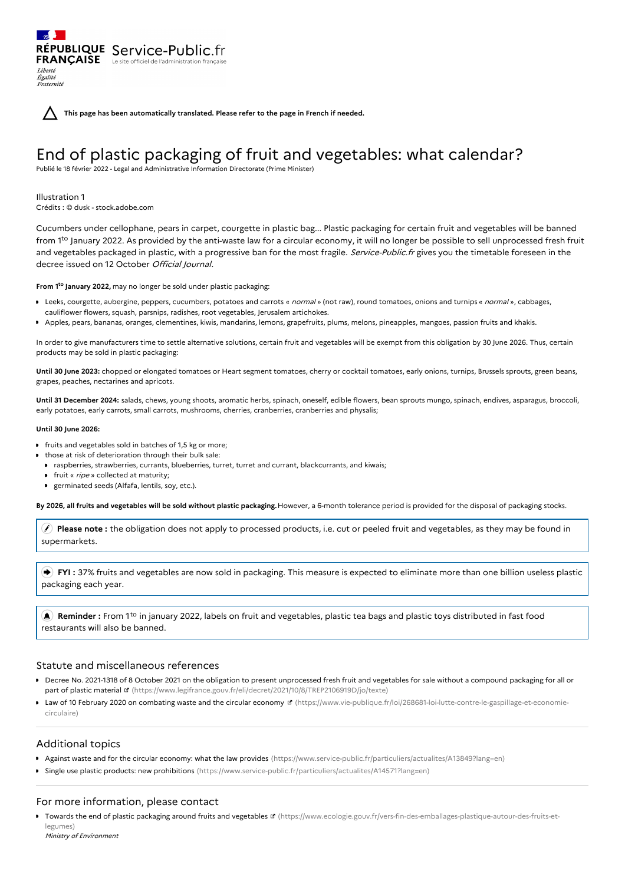**This page has been automatically translated. Please refer to the page in French if needed.**

# End of plastic packaging of fruit and vegetables: what calendar?

Publié le 18 février 2022 - Legal and Administrative Information Directorate (Prime Minister)

Illustration 1 Crédits : © dusk - stock.adobe.com

Liberté Égalité Fraternité

RÉPUBLIQUE Service-Public.fr **FRANÇAISE** Le site officiel de l'administration fran

Cucumbers under cellophane, pears in carpet, courgette in plastic bag... Plastic packaging for certain fruit and vegetables will be banned from 1<sup>to</sup> January 2022. As provided by the anti-waste law for a circular economy, it will no longer be possible to sell unprocessed fresh fruit and vegetables packaged in plastic, with a progressive ban for the most fragile. Service-Public.fr gives you the timetable foreseen in the decree issued on 12 October Official Journal.

From 1<sup>to</sup> January 2022, may no longer be sold under plastic packaging:

- Leeks, courgette, aubergine, peppers, cucumbers, potatoes and carrots « normal » (not raw), round tomatoes, onions and turnips « normal », cabbages, cauliflower flowers, squash, parsnips, radishes, root vegetables, Jerusalem artichokes.
- Apples, pears, bananas, oranges, clementines, kiwis, mandarins, lemons, grapefruits, plums, melons, pineapples, mangoes, passion fruits and khakis.

In order to give manufacturers time to settle alternative solutions, certain fruit and vegetables will be exempt from this obligation by 30 June 2026. Thus, certain products may be sold in plastic packaging:

**Until 30 June 2023:** chopped or elongated tomatoes or Heart segment tomatoes, cherry or cocktail tomatoes, early onions, turnips, Brussels sprouts, green beans, grapes, peaches, nectarines and apricots.

**Until 31 December 2024:** salads, chews, young shoots, aromatic herbs, spinach, oneself, edible flowers, bean sprouts mungo, spinach, endives, asparagus, broccoli, early potatoes, early carrots, small carrots, mushrooms, cherries, cranberries, cranberries and physalis;

#### **Until 30 June 2026:**

- **fi** fruits and vegetables sold in batches of 1,5 kg or more;
- $\bullet$  those at risk of deterioration through their bulk sale:
	- raspberries, strawberries, currants, blueberries, turret, turret and currant, blackcurrants, and kiwais;
	- **fruit** « *ripe* » collected at maturity:
	- germinated seeds (Alfafa, lentils, soy, etc.).

By 2026, all fruits and vegetables will be sold without plastic packaging. However, a 6-month tolerance period is provided for the disposal of packaging stocks.

 **Please note :** the obligation does not apply to processed products, i.e. cut or peeled fruit and vegetables, as they may be found in supermarkets.

 **FYI :** 37% fruits and vegetables are now sold in packaging. This measure is expected to eliminate more than one billion useless plastic packaging each year.

**A**) **Reminder** : From 1<sup>to</sup> in january 2022, labels on fruit and vegetables, plastic tea bags and plastic toys distributed in fast food restaurants will also be banned.

### Statute and miscellaneous references

- Decree No. 2021-1318 of 8 October 2021 on the obligation to present unprocessed fresh fruit and vegetables for sale without a compound packaging for all or part of plastic material  $\alpha$  [\(https://www.legifrance.gouv.fr/eli/decret/2021/10/8/TREP2106919D/jo/texte\)](https://www.legifrance.gouv.fr/eli/decret/2021/10/8/TREP2106919D/jo/texte)
- Law of 10 February 2020 on combating waste and the circular economy **E** [\(https://www.vie-publique.fr/loi/268681-loi-lutte-contre-le-gaspillage-et-economie](https://www.vie-publique.fr/loi/268681-loi-lutte-contre-le-gaspillage-et-economie-circulaire)circulaire)

# Additional topics

- Against waste and for the circular economy: what the law provides [\(https://www.service-public.fr/particuliers/actualites/A13849?lang=en\)](https://www.service-public.fr/particuliers/actualites/A13849?lang=en)
- Single use plastic products: new prohibitions [\(https://www.service-public.fr/particuliers/actualites/A14571?lang=en\)](https://www.service-public.fr/particuliers/actualites/A14571?lang=en)

# For more information, please contact

Towards the end of plastic packaging around fruits and vegetables **E** [\(https://www.ecologie.gouv.fr/vers-fin-des-emballages-plastique-autour-des-fruits-et](https://www.ecologie.gouv.fr/vers-fin-des-emballages-plastique-autour-des-fruits-et-legumes)legumes)

Ministry of Environment